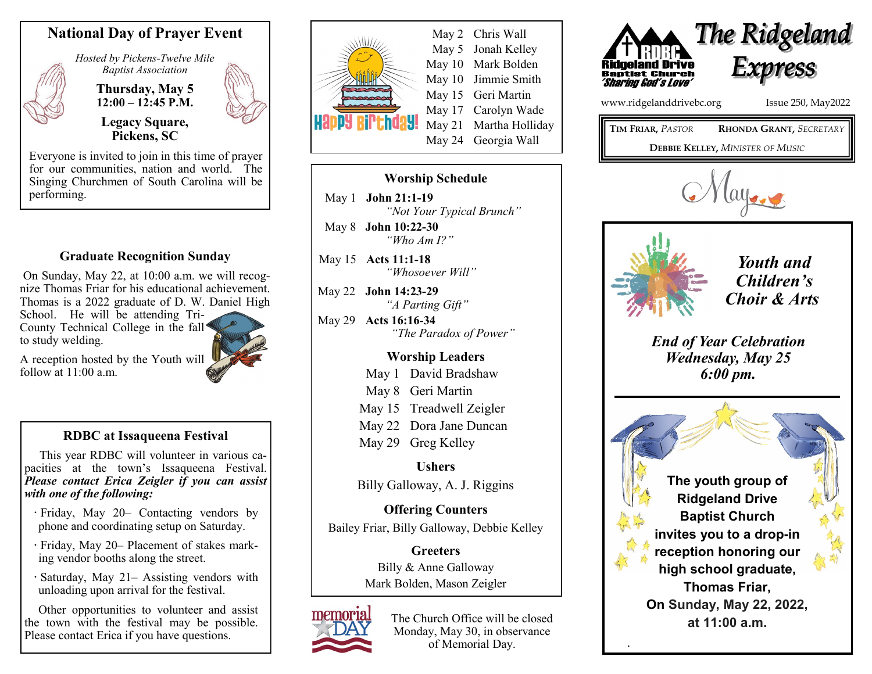

*Hosted by Pickens-Twelve Mile Baptist Association*

> **Thursday, May 5 12:00 – 12:45 P.M. Legacy Square,**

> > **Pickens, SC**



Everyone is invited to join in this time of prayer for our communities, nation and world. The Singing Churchmen of South Carolina will be performing.

## **Graduate Recognition Sunday**

On Sunday, May 22, at 10:00 a.m. we will recognize Thomas Friar for his educational achievement. Thomas is a 2022 graduate of D. W. Daniel High

School. He will be attending Tri-County Technical College in the fall to study welding.

A reception hosted by the Youth will follow at  $11:00$  a.m.

## **RDBC at Issaqueena Festival**

 This year RDBC will volunteer in various capacities at the town's Issaqueena Festival. *Please contact Erica Zeigler if you can assist with one of the following:* 

- **·** Friday, May 20– Contacting vendors by phone and coordinating setup on Saturday.
- **·** Friday, May 20– Placement of stakes marking vendor booths along the street.
- **·** Saturday, May 21– Assisting vendors with unloading upon arrival for the festival.

Other opportunities to volunteer and assist the town with the festival may be possible. Please contact Erica if you have questions.



## **Worship Schedule**

May 1 **John 21:1-19**  *"Not Your Typical Brunch"*  May 8 **John 10:22-30** 

*"Who Am I?"*  May 15 **Acts 11:1-18** 

*"Whosoever Will"*

May 22 **John 14:23-29**  *"A Parting Gift"* 

May 29 **Acts 16:16-34**  *"The Paradox of Power"* 

## **Worship Leaders**

May 1 David Bradshaw May 8 Geri Martin May 15 Treadwell Zeigler

May 22 Dora Jane Duncan

May 29 Greg Kelley

**Ushers** Billy Galloway, A. J. Riggins

**Offering Counters** Bailey Friar, Billy Galloway, Debbie Kelley

> **Greeters** Billy & Anne Galloway Mark Bolden, Mason Zeigler



The Church Office will be closed Monday, May 30, in observance of Memorial Day.